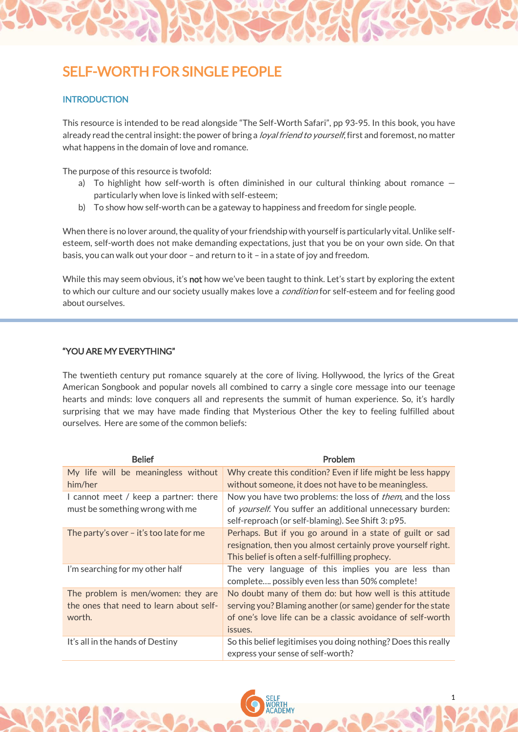# SELF-WORTH FOR SINGLE PEOPLE

## **INTRODUCTION**

This resource is intended to be read alongside "The Self-Worth Safari", pp 93-95. In this book, you have already read the central insight: the power of bring a *loyal friend to yourself*, first and foremost, no matter what happens in the domain of love and romance.

The purpose of this resource is twofold:

- a) To highlight how self-worth is often diminished in our cultural thinking about romance  $$ particularly when love is linked with self-esteem;
- b) To show how self-worth can be a gateway to happiness and freedom for single people.

When there is no lover around, the quality of your friendship with yourself is particularly vital. Unlike selfesteem, self-worth does not make demanding expectations, just that you be on your own side. On that basis, you can walk out your door – and return to it – in a state of joy and freedom.

While this may seem obvious, it's not how we've been taught to think. Let's start by exploring the extent to which our culture and our society usually makes love a *condition* for self-esteem and for feeling good about ourselves.

#### "YOU ARE MY EVERYTHING"

The twentieth century put romance squarely at the core of living. Hollywood, the lyrics of the Great American Songbook and popular novels all combined to carry a single core message into our teenage hearts and minds: love conquers all and represents the summit of human experience. So, it's hardly surprising that we may have made finding that Mysterious Other the key to feeling fulfilled about ourselves. Here are some of the common beliefs:

| <b>Belief</b>                             | Problem                                                           |
|-------------------------------------------|-------------------------------------------------------------------|
| My life will be meaningless without       | Why create this condition? Even if life might be less happy       |
| him/her                                   | without someone, it does not have to be meaningless.              |
| I cannot meet / keep a partner: there     | Now you have two problems: the loss of <i>them</i> , and the loss |
| must be something wrong with me           | of yourself. You suffer an additional unnecessary burden:         |
|                                           | self-reproach (or self-blaming). See Shift 3: p95.                |
| The party's over $-$ it's too late for me | Perhaps. But if you go around in a state of guilt or sad          |
|                                           | resignation, then you almost certainly prove yourself right.      |
|                                           | This belief is often a self-fulfilling prophecy.                  |
| I'm searching for my other half           | The very language of this implies you are less than               |
|                                           | complete, possibly even less than 50% complete!                   |
| The problem is men/women: they are        | No doubt many of them do: but how well is this attitude           |
| the ones that need to learn about self-   | serving you? Blaming another (or same) gender for the state       |
| worth.                                    | of one's love life can be a classic avoidance of self-worth       |
|                                           | issues.                                                           |
| It's all in the hands of Destiny          | So this belief legitimises you doing nothing? Does this really    |
|                                           | express your sense of self-worth?                                 |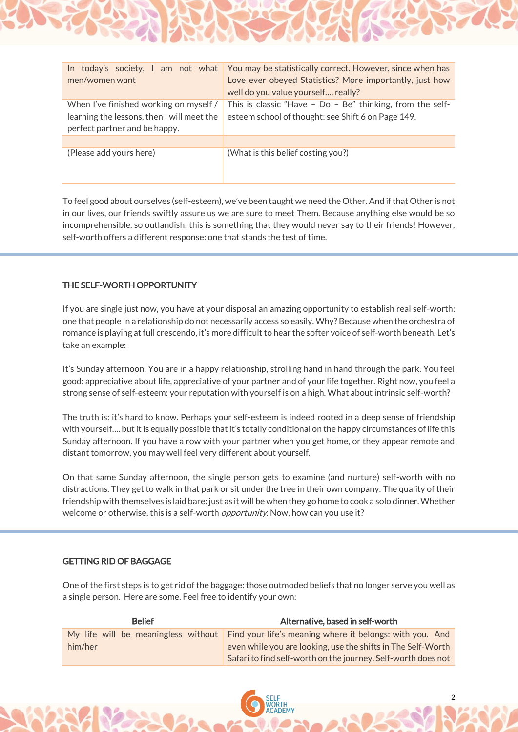| men/women want                                                                                                        | In today's society, I am not what You may be statistically correct. However, since when has<br>Love ever obeyed Statistics? More importantly, just how<br>well do you value yourself really? |
|-----------------------------------------------------------------------------------------------------------------------|----------------------------------------------------------------------------------------------------------------------------------------------------------------------------------------------|
| When I've finished working on myself /<br>learning the lessons, then I will meet the<br>perfect partner and be happy. | This is classic "Have - $Do - Be$ " thinking, from the self-<br>esteem school of thought: see Shift 6 on Page 149.                                                                           |
|                                                                                                                       |                                                                                                                                                                                              |
| (Please add yours here)                                                                                               | (What is this belief costing you?)                                                                                                                                                           |

To feel good about ourselves (self-esteem), we've been taught we need the Other. And if that Other is not in our lives, our friends swiftly assure us we are sure to meet Them. Because anything else would be so incomprehensible, so outlandish: this is something that they would never say to their friends! However, self-worth offers a different response: one that stands the test of time.

## THE SELF-WORTH OPPORTUNITY

If you are single just now, you have at your disposal an amazing opportunity to establish real self-worth: one that people in a relationship do not necessarily access so easily. Why? Because when the orchestra of romance is playing at full crescendo, it's more difficult to hear the softer voice of self-worth beneath. Let's take an example:

It's Sunday afternoon. You are in a happy relationship, strolling hand in hand through the park. You feel good: appreciative about life, appreciative of your partner and of your life together. Right now, you feel a strong sense of self-esteem: your reputation with yourself is on a high. What about intrinsic self-worth?

The truth is: it's hard to know. Perhaps your self-esteem is indeed rooted in a deep sense of friendship with yourself…. but it is equally possible that it's totally conditional on the happy circumstances of life this Sunday afternoon. If you have a row with your partner when you get home, or they appear remote and distant tomorrow, you may well feel very different about yourself.

On that same Sunday afternoon, the single person gets to examine (and nurture) self-worth with no distractions. They get to walk in that park or sit under the tree in their own company. The quality of their friendship with themselves is laid bare: just as it will be when they go home to cook a solo dinner. Whether welcome or otherwise, this is a self-worth *opportunity*. Now, how can you use it?

#### GETTING RID OF BAGGAGE

One of the first steps is to get rid of the baggage: those outmoded beliefs that no longer serve you well as a single person. Here are some. Feel free to identify your own:

| <b>Belief</b> | Alternative, based in self-worth                                                             |
|---------------|----------------------------------------------------------------------------------------------|
|               | My life will be meaningless without Find your life's meaning where it belongs: with you. And |
| him/her       | even while you are looking, use the shifts in The Self-Worth                                 |
|               | Safari to find self-worth on the journey. Self-worth does not                                |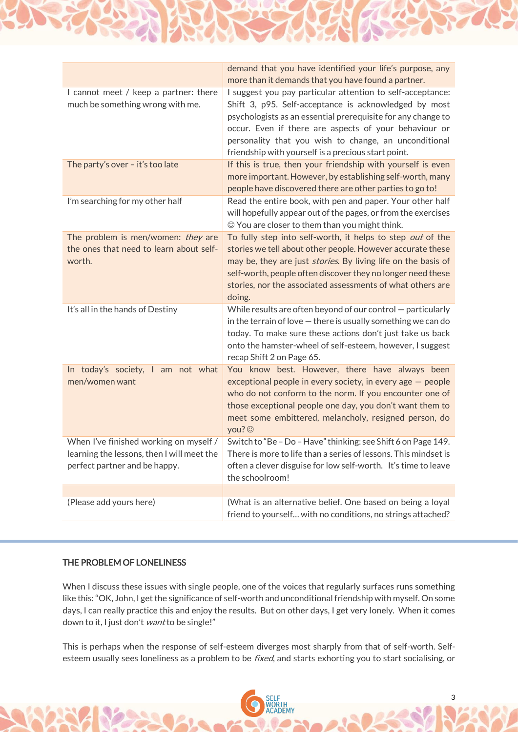|                                                                                                                       | demand that you have identified your life's purpose, any<br>more than it demands that you have found a partner.                                                                                                                                                                                                                                              |
|-----------------------------------------------------------------------------------------------------------------------|--------------------------------------------------------------------------------------------------------------------------------------------------------------------------------------------------------------------------------------------------------------------------------------------------------------------------------------------------------------|
| I cannot meet / keep a partner: there<br>much be something wrong with me.                                             | I suggest you pay particular attention to self-acceptance:<br>Shift 3, p95. Self-acceptance is acknowledged by most<br>psychologists as an essential prerequisite for any change to<br>occur. Even if there are aspects of your behaviour or<br>personality that you wish to change, an unconditional<br>friendship with yourself is a precious start point. |
| The party's over - it's too late                                                                                      | If this is true, then your friendship with yourself is even<br>more important. However, by establishing self-worth, many<br>people have discovered there are other parties to go to!                                                                                                                                                                         |
| I'm searching for my other half                                                                                       | Read the entire book, with pen and paper. Your other half<br>will hopefully appear out of the pages, or from the exercises<br>© You are closer to them than you might think.                                                                                                                                                                                 |
| The problem is men/women: they are<br>the ones that need to learn about self-<br>worth.                               | To fully step into self-worth, it helps to step out of the<br>stories we tell about other people. However accurate these<br>may be, they are just <i>stories</i> . By living life on the basis of<br>self-worth, people often discover they no longer need these<br>stories, nor the associated assessments of what others are<br>doing.                     |
| It's all in the hands of Destiny                                                                                      | While results are often beyond of our control $-$ particularly<br>in the terrain of love $-$ there is usually something we can do<br>today. To make sure these actions don't just take us back<br>onto the hamster-wheel of self-esteem, however, I suggest<br>recap Shift 2 on Page 65.                                                                     |
| In today's society, I am not what<br>men/women want                                                                   | You know best. However, there have always been<br>exceptional people in every society, in every age $-$ people<br>who do not conform to the norm. If you encounter one of<br>those exceptional people one day, you don't want them to<br>meet some embittered, melancholy, resigned person, do<br>you? ©                                                     |
| When I've finished working on myself /<br>learning the lessons, then I will meet the<br>perfect partner and be happy. | Switch to "Be - Do - Have" thinking: see Shift 6 on Page 149.<br>There is more to life than a series of lessons. This mindset is<br>often a clever disguise for low self-worth. It's time to leave<br>the schoolroom!                                                                                                                                        |
| (Please add yours here)                                                                                               | (What is an alternative belief. One based on being a loyal                                                                                                                                                                                                                                                                                                   |
|                                                                                                                       | friend to yourself with no conditions, no strings attached?                                                                                                                                                                                                                                                                                                  |

### THE PROBLEM OF LONELINESS

When I discuss these issues with single people, one of the voices that regularly surfaces runs something like this: "OK, John, I get the significance of self-worth and unconditional friendship with myself. On some days, I can really practice this and enjoy the results. But on other days, I get very lonely. When it comes down to it, I just don't want to be single!"

This is perhaps when the response of self-esteem diverges most sharply from that of self-worth. Selfesteem usually sees loneliness as a problem to be *fixed*, and starts exhorting you to start socialising, or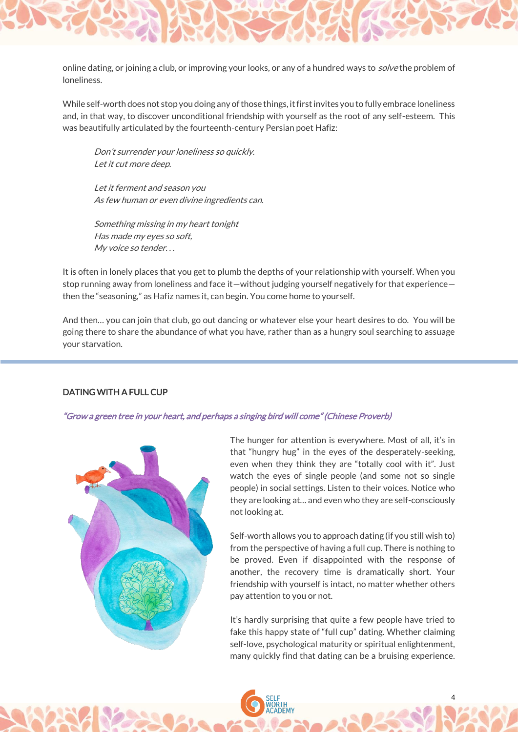

While self-worth does not stop you doing any of those things, it first invites you to fully embrace loneliness and, in that way, to discover unconditional friendship with yourself as the root of any self-esteem. This was beautifully articulated by the fourteenth-century Persian poet Hafiz:

Don't surrender your loneliness so quickly. Let it cut more deep.

Let it ferment and season you As few human or even divine ingredients can.

Something missing in my heart tonight Has made my eyes so soft, My voice so tender. . .

It is often in lonely places that you get to plumb the depths of your relationship with yourself. When you stop running away from loneliness and face it—without judging yourself negatively for that experience then the "seasoning," as Hafiz names it, can begin. You come home to yourself.

And then… you can join that club, go out dancing or whatever else your heart desires to do. You will be going there to share the abundance of what you have, rather than as a hungry soul searching to assuage your starvation.

#### DATING WITH A FULL CUP

## "Grow a green tree in your heart, and perhaps a singing bird will come" (Chinese Proverb)



The hunger for attention is everywhere. Most of all, it's in that "hungry hug" in the eyes of the desperately-seeking, even when they think they are "totally cool with it". Just watch the eyes of single people (and some not so single people) in social settings. Listen to their voices. Notice who they are looking at… and even who they are self-consciously not looking at.

Self-worth allows you to approach dating (if you still wish to) from the perspective of having a full cup. There is nothing to be proved. Even if disappointed with the response of another, the recovery time is dramatically short. Your friendship with yourself is intact, no matter whether others pay attention to you or not.

It's hardly surprising that quite a few people have tried to fake this happy state of "full cup" dating. Whether claiming self-love, psychological maturity or spiritual enlightenment, many quickly find that dating can be a bruising experience.